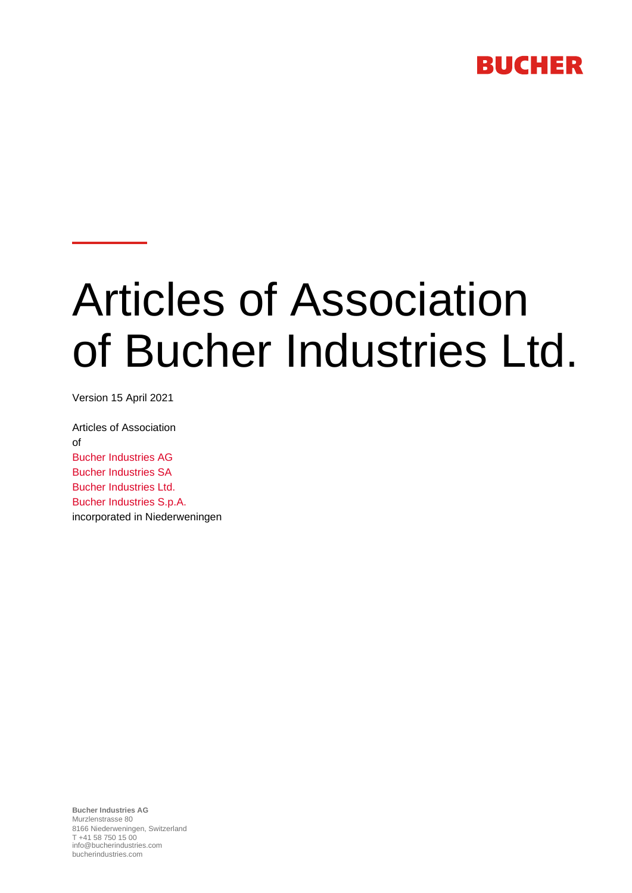# **BUCHER**

# Articles of Association of Bucher Industries Ltd.

Version 15 April 2021

Articles of Association of Bucher Industries AG Bucher Industries SA Bucher Industries Ltd. Bucher Industries S.p.A. incorporated in Niederweningen

**Bucher Industries AG** Murzlenstrasse 80 8166 Niederweningen, Switzerland T +41 58 750 15 00 info@bucherindustries.com bucherindustries.com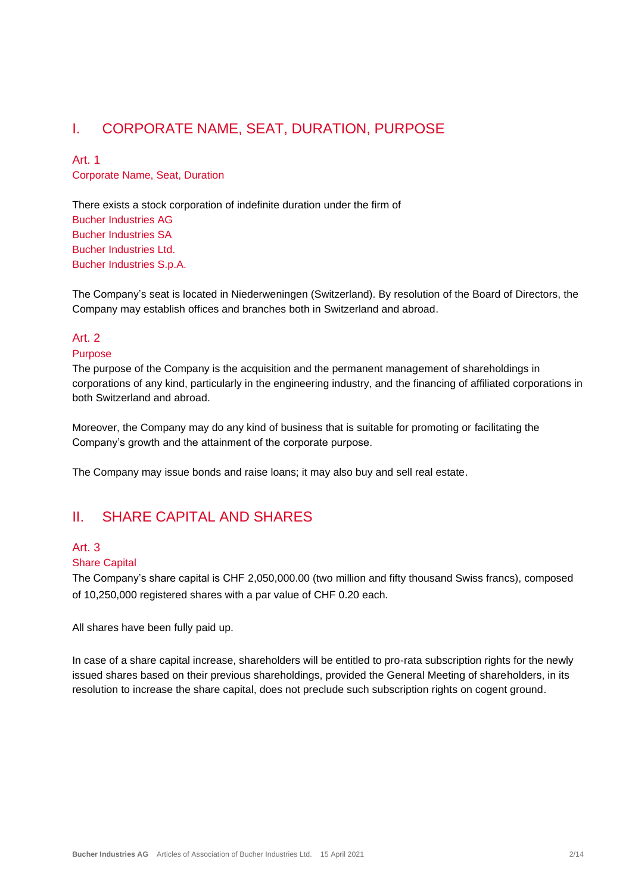# I. CORPORATE NAME, SEAT, DURATION, PURPOSE

# Art. 1

Corporate Name, Seat, Duration

There exists a stock corporation of indefinite duration under the firm of Bucher Industries AG Bucher Industries SA Bucher Industries Ltd. Bucher Industries S.p.A.

The Company's seat is located in Niederweningen (Switzerland). By resolution of the Board of Directors, the Company may establish offices and branches both in Switzerland and abroad.

### Art<sub>2</sub>

#### Purpose

The purpose of the Company is the acquisition and the permanent management of shareholdings in corporations of any kind, particularly in the engineering industry, and the financing of affiliated corporations in both Switzerland and abroad.

Moreover, the Company may do any kind of business that is suitable for promoting or facilitating the Company's growth and the attainment of the corporate purpose.

The Company may issue bonds and raise loans; it may also buy and sell real estate.

# II. SHARE CAPITAL AND SHARES

# Art. 3

#### Share Capital

The Company's share capital is CHF 2,050,000.00 (two million and fifty thousand Swiss francs), composed of 10,250,000 registered shares with a par value of CHF 0.20 each.

All shares have been fully paid up.

In case of a share capital increase, shareholders will be entitled to pro-rata subscription rights for the newly issued shares based on their previous shareholdings, provided the General Meeting of shareholders, in its resolution to increase the share capital, does not preclude such subscription rights on cogent ground.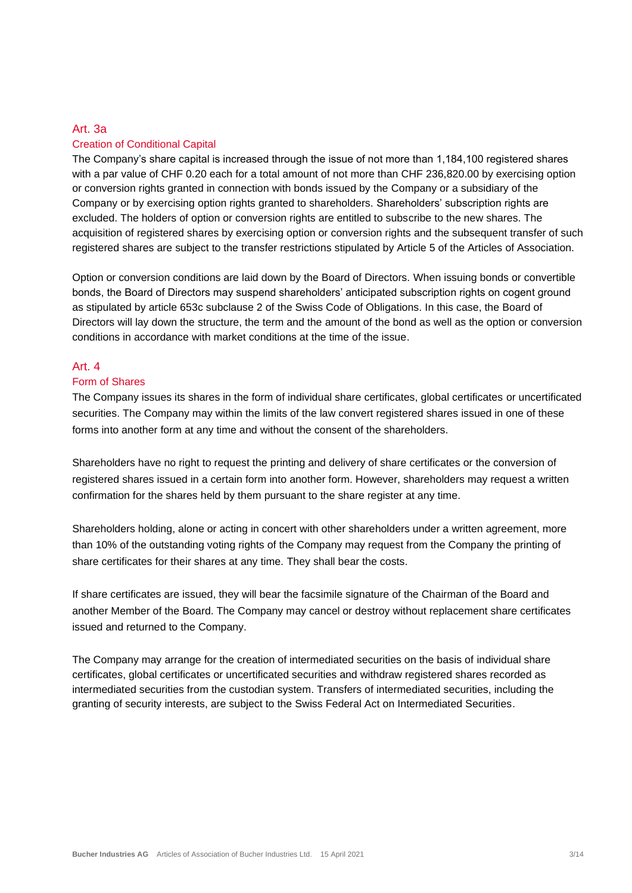#### Art. 3a

#### Creation of Conditional Capital

The Company's share capital is increased through the issue of not more than 1,184,100 registered shares with a par value of CHF 0.20 each for a total amount of not more than CHF 236,820.00 by exercising option or conversion rights granted in connection with bonds issued by the Company or a subsidiary of the Company or by exercising option rights granted to shareholders. Shareholders' subscription rights are excluded. The holders of option or conversion rights are entitled to subscribe to the new shares. The acquisition of registered shares by exercising option or conversion rights and the subsequent transfer of such registered shares are subject to the transfer restrictions stipulated by Article 5 of the Articles of Association.

Option or conversion conditions are laid down by the Board of Directors. When issuing bonds or convertible bonds, the Board of Directors may suspend shareholders' anticipated subscription rights on cogent ground as stipulated by article 653c subclause 2 of the Swiss Code of Obligations. In this case, the Board of Directors will lay down the structure, the term and the amount of the bond as well as the option or conversion conditions in accordance with market conditions at the time of the issue.

#### Art. 4

#### Form of Shares

The Company issues its shares in the form of individual share certificates, global certificates or uncertificated securities. The Company may within the limits of the law convert registered shares issued in one of these forms into another form at any time and without the consent of the shareholders.

Shareholders have no right to request the printing and delivery of share certificates or the conversion of registered shares issued in a certain form into another form. However, shareholders may request a written confirmation for the shares held by them pursuant to the share register at any time.

Shareholders holding, alone or acting in concert with other shareholders under a written agreement, more than 10% of the outstanding voting rights of the Company may request from the Company the printing of share certificates for their shares at any time. They shall bear the costs.

If share certificates are issued, they will bear the facsimile signature of the Chairman of the Board and another Member of the Board. The Company may cancel or destroy without replacement share certificates issued and returned to the Company.

The Company may arrange for the creation of intermediated securities on the basis of individual share certificates, global certificates or uncertificated securities and withdraw registered shares recorded as intermediated securities from the custodian system. Transfers of intermediated securities, including the granting of security interests, are subject to the Swiss Federal Act on Intermediated Securities.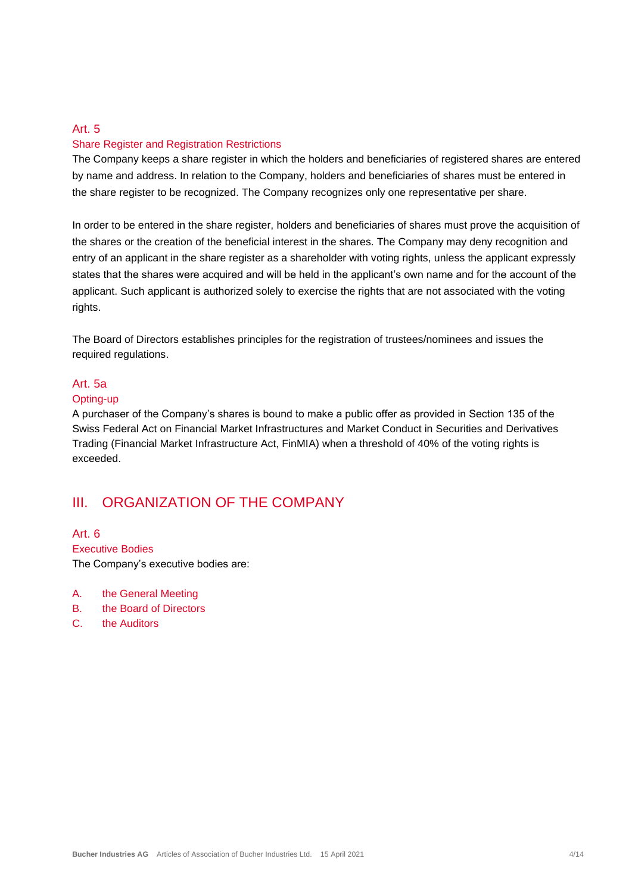#### Share Register and Registration Restrictions

The Company keeps a share register in which the holders and beneficiaries of registered shares are entered by name and address. In relation to the Company, holders and beneficiaries of shares must be entered in the share register to be recognized. The Company recognizes only one representative per share.

In order to be entered in the share register, holders and beneficiaries of shares must prove the acquisition of the shares or the creation of the beneficial interest in the shares. The Company may deny recognition and entry of an applicant in the share register as a shareholder with voting rights, unless the applicant expressly states that the shares were acquired and will be held in the applicant's own name and for the account of the applicant. Such applicant is authorized solely to exercise the rights that are not associated with the voting rights.

The Board of Directors establishes principles for the registration of trustees/nominees and issues the required regulations.

#### Art. 5a

#### Opting-up

A purchaser of the Company's shares is bound to make a public offer as provided in Section 135 of the Swiss Federal Act on Financial Market Infrastructures and Market Conduct in Securities and Derivatives Trading (Financial Market Infrastructure Act, FinMIA) when a threshold of 40% of the voting rights is exceeded.

# III. ORGANIZATION OF THE COMPANY

Art. 6 Executive Bodies The Company's executive bodies are:

- A. the General Meeting
- B. the Board of Directors
- C. the Auditors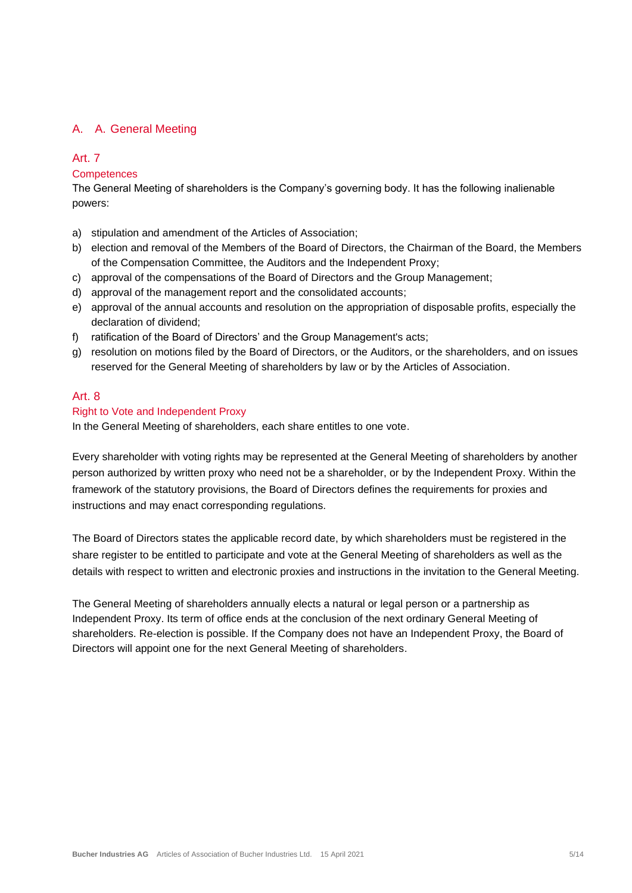#### A. A. General Meeting

#### Art. 7

#### **Competences**

The General Meeting of shareholders is the Company's governing body. It has the following inalienable powers:

- a) stipulation and amendment of the Articles of Association;
- b) election and removal of the Members of the Board of Directors, the Chairman of the Board, the Members of the Compensation Committee, the Auditors and the Independent Proxy;
- c) approval of the compensations of the Board of Directors and the Group Management;
- d) approval of the management report and the consolidated accounts;
- e) approval of the annual accounts and resolution on the appropriation of disposable profits, especially the declaration of dividend;
- f) ratification of the Board of Directors' and the Group Management's acts;
- g) resolution on motions filed by the Board of Directors, or the Auditors, or the shareholders, and on issues reserved for the General Meeting of shareholders by law or by the Articles of Association.

#### Art. 8

#### Right to Vote and Independent Proxy

In the General Meeting of shareholders, each share entitles to one vote.

Every shareholder with voting rights may be represented at the General Meeting of shareholders by another person authorized by written proxy who need not be a shareholder, or by the Independent Proxy. Within the framework of the statutory provisions, the Board of Directors defines the requirements for proxies and instructions and may enact corresponding regulations.

The Board of Directors states the applicable record date, by which shareholders must be registered in the share register to be entitled to participate and vote at the General Meeting of shareholders as well as the details with respect to written and electronic proxies and instructions in the invitation to the General Meeting.

The General Meeting of shareholders annually elects a natural or legal person or a partnership as Independent Proxy. Its term of office ends at the conclusion of the next ordinary General Meeting of shareholders. Re-election is possible. If the Company does not have an Independent Proxy, the Board of Directors will appoint one for the next General Meeting of shareholders.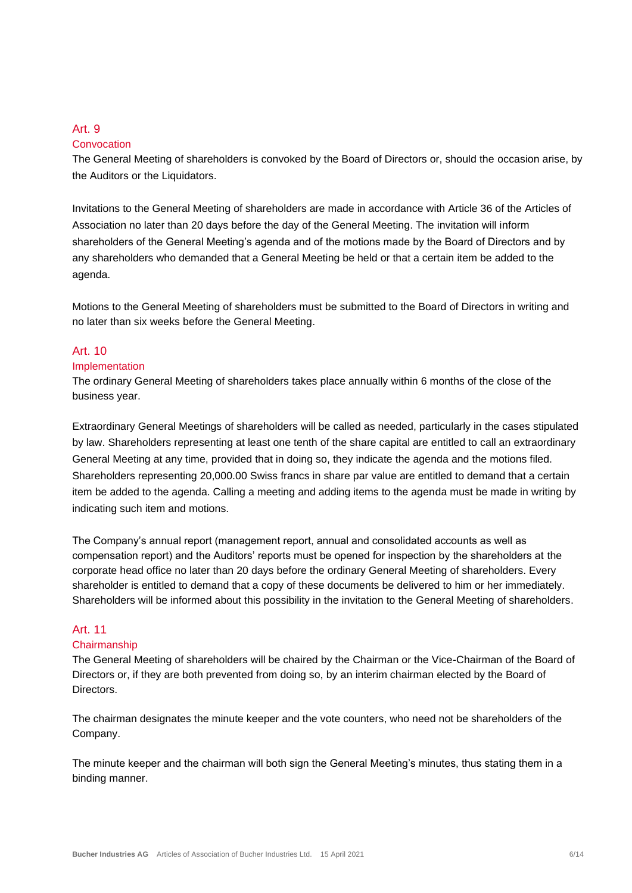#### **Convocation**

The General Meeting of shareholders is convoked by the Board of Directors or, should the occasion arise, by the Auditors or the Liquidators.

Invitations to the General Meeting of shareholders are made in accordance with Article 36 of the Articles of Association no later than 20 days before the day of the General Meeting. The invitation will inform shareholders of the General Meeting's agenda and of the motions made by the Board of Directors and by any shareholders who demanded that a General Meeting be held or that a certain item be added to the agenda.

Motions to the General Meeting of shareholders must be submitted to the Board of Directors in writing and no later than six weeks before the General Meeting.

# Art. 10

#### Implementation

The ordinary General Meeting of shareholders takes place annually within 6 months of the close of the business year.

Extraordinary General Meetings of shareholders will be called as needed, particularly in the cases stipulated by law. Shareholders representing at least one tenth of the share capital are entitled to call an extraordinary General Meeting at any time, provided that in doing so, they indicate the agenda and the motions filed. Shareholders representing 20,000.00 Swiss francs in share par value are entitled to demand that a certain item be added to the agenda. Calling a meeting and adding items to the agenda must be made in writing by indicating such item and motions.

The Company's annual report (management report, annual and consolidated accounts as well as compensation report) and the Auditors' reports must be opened for inspection by the shareholders at the corporate head office no later than 20 days before the ordinary General Meeting of shareholders. Every shareholder is entitled to demand that a copy of these documents be delivered to him or her immediately. Shareholders will be informed about this possibility in the invitation to the General Meeting of shareholders.

### Art. 11

#### **Chairmanship**

The General Meeting of shareholders will be chaired by the Chairman or the Vice-Chairman of the Board of Directors or, if they are both prevented from doing so, by an interim chairman elected by the Board of Directors.

The chairman designates the minute keeper and the vote counters, who need not be shareholders of the Company.

The minute keeper and the chairman will both sign the General Meeting's minutes, thus stating them in a binding manner.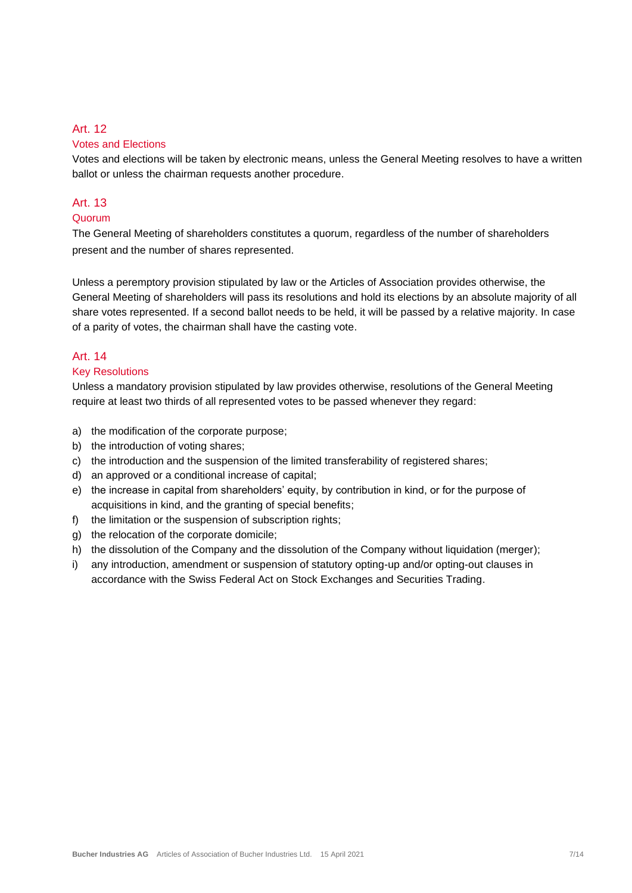#### Votes and Elections

Votes and elections will be taken by electronic means, unless the General Meeting resolves to have a written ballot or unless the chairman requests another procedure.

#### Art. 13

#### Quorum

The General Meeting of shareholders constitutes a quorum, regardless of the number of shareholders present and the number of shares represented.

Unless a peremptory provision stipulated by law or the Articles of Association provides otherwise, the General Meeting of shareholders will pass its resolutions and hold its elections by an absolute majority of all share votes represented. If a second ballot needs to be held, it will be passed by a relative majority. In case of a parity of votes, the chairman shall have the casting vote.

#### Art. 14

#### Key Resolutions

Unless a mandatory provision stipulated by law provides otherwise, resolutions of the General Meeting require at least two thirds of all represented votes to be passed whenever they regard:

- a) the modification of the corporate purpose;
- b) the introduction of voting shares;
- c) the introduction and the suspension of the limited transferability of registered shares;
- d) an approved or a conditional increase of capital;
- e) the increase in capital from shareholders' equity, by contribution in kind, or for the purpose of acquisitions in kind, and the granting of special benefits;
- f) the limitation or the suspension of subscription rights;
- g) the relocation of the corporate domicile;
- h) the dissolution of the Company and the dissolution of the Company without liquidation (merger);
- i) any introduction, amendment or suspension of statutory opting-up and/or opting-out clauses in accordance with the Swiss Federal Act on Stock Exchanges and Securities Trading.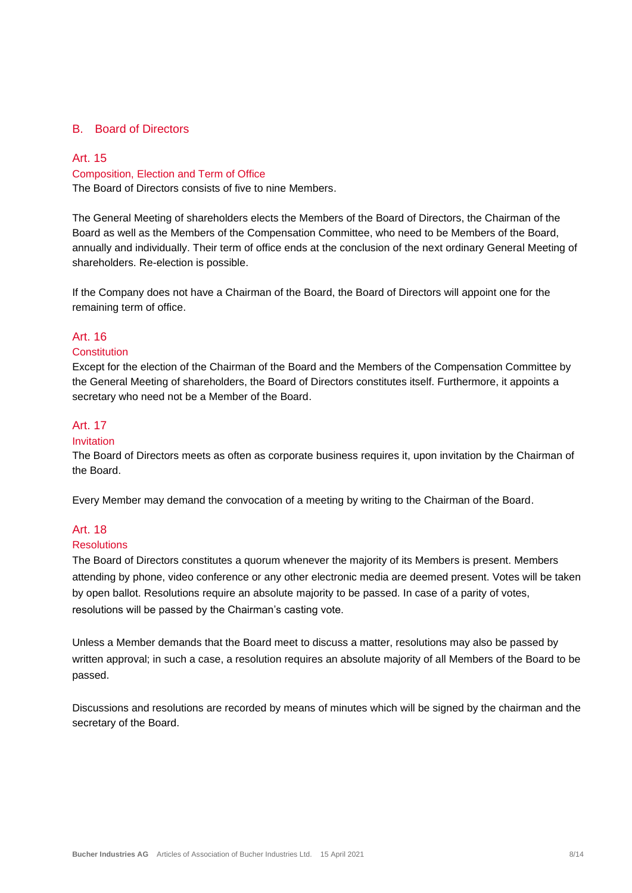#### B. Board of Directors

#### Art. 15 Composition, Election and Term of Office

The Board of Directors consists of five to nine Members.

The General Meeting of shareholders elects the Members of the Board of Directors, the Chairman of the Board as well as the Members of the Compensation Committee, who need to be Members of the Board, annually and individually. Their term of office ends at the conclusion of the next ordinary General Meeting of shareholders. Re-election is possible.

If the Company does not have a Chairman of the Board, the Board of Directors will appoint one for the remaining term of office.

#### Art. 16

#### **Constitution**

Except for the election of the Chairman of the Board and the Members of the Compensation Committee by the General Meeting of shareholders, the Board of Directors constitutes itself. Furthermore, it appoints a secretary who need not be a Member of the Board.

#### Art. 17

#### Invitation

The Board of Directors meets as often as corporate business requires it, upon invitation by the Chairman of the Board.

Every Member may demand the convocation of a meeting by writing to the Chairman of the Board.

#### Art. 18

#### Resolutions

The Board of Directors constitutes a quorum whenever the majority of its Members is present. Members attending by phone, video conference or any other electronic media are deemed present. Votes will be taken by open ballot. Resolutions require an absolute majority to be passed. In case of a parity of votes, resolutions will be passed by the Chairman's casting vote.

Unless a Member demands that the Board meet to discuss a matter, resolutions may also be passed by written approval; in such a case, a resolution requires an absolute majority of all Members of the Board to be passed.

Discussions and resolutions are recorded by means of minutes which will be signed by the chairman and the secretary of the Board.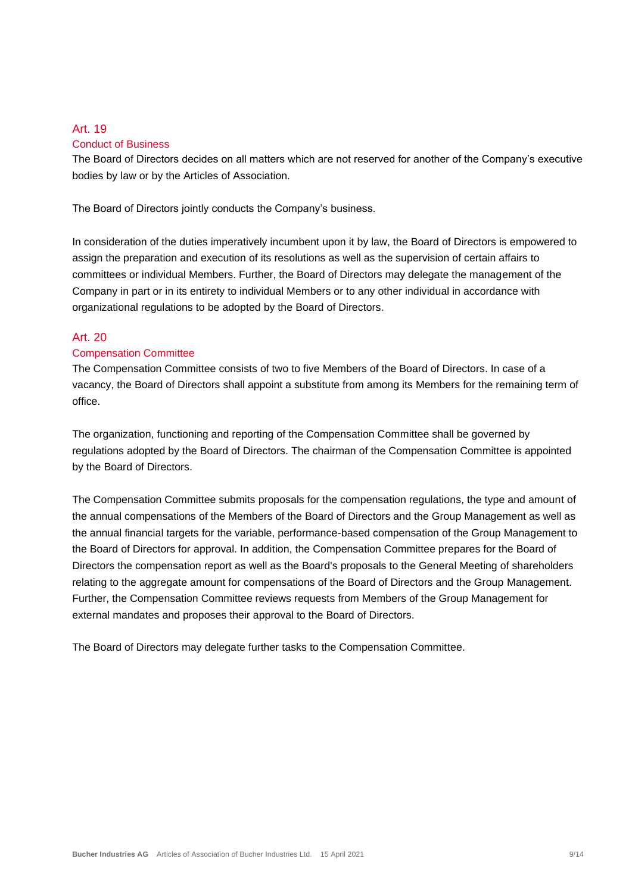#### Art. 19 Conduct of Business

The Board of Directors decides on all matters which are not reserved for another of the Company's executive bodies by law or by the Articles of Association.

The Board of Directors jointly conducts the Company's business.

In consideration of the duties imperatively incumbent upon it by law, the Board of Directors is empowered to assign the preparation and execution of its resolutions as well as the supervision of certain affairs to committees or individual Members. Further, the Board of Directors may delegate the management of the Company in part or in its entirety to individual Members or to any other individual in accordance with organizational regulations to be adopted by the Board of Directors.

#### Art. 20

#### Compensation Committee

The Compensation Committee consists of two to five Members of the Board of Directors. In case of a vacancy, the Board of Directors shall appoint a substitute from among its Members for the remaining term of office.

The organization, functioning and reporting of the Compensation Committee shall be governed by regulations adopted by the Board of Directors. The chairman of the Compensation Committee is appointed by the Board of Directors.

The Compensation Committee submits proposals for the compensation regulations, the type and amount of the annual compensations of the Members of the Board of Directors and the Group Management as well as the annual financial targets for the variable, performance-based compensation of the Group Management to the Board of Directors for approval. In addition, the Compensation Committee prepares for the Board of Directors the compensation report as well as the Board's proposals to the General Meeting of shareholders relating to the aggregate amount for compensations of the Board of Directors and the Group Management. Further, the Compensation Committee reviews requests from Members of the Group Management for external mandates and proposes their approval to the Board of Directors.

The Board of Directors may delegate further tasks to the Compensation Committee.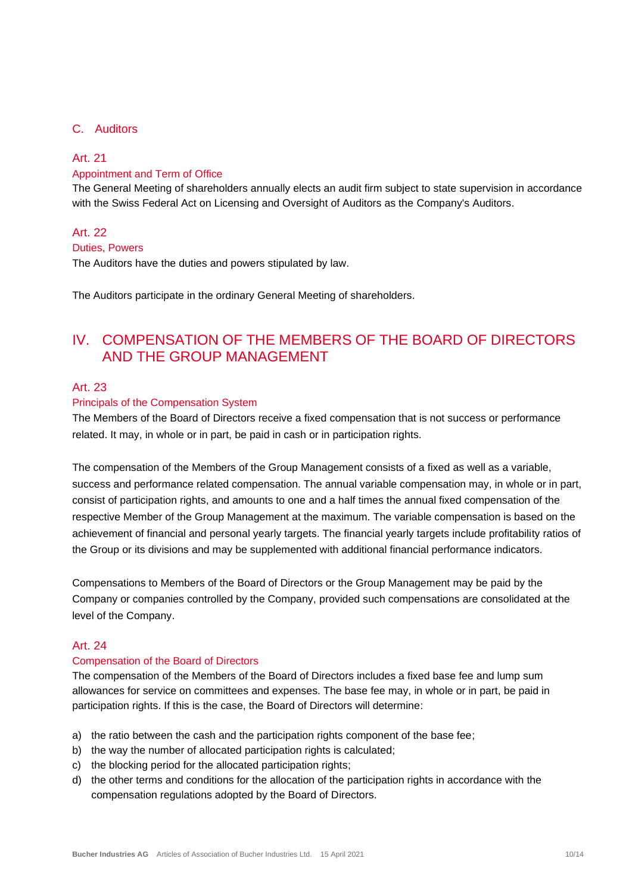#### C. Auditors

#### Art. 21

#### Appointment and Term of Office

The General Meeting of shareholders annually elects an audit firm subject to state supervision in accordance with the Swiss Federal Act on Licensing and Oversight of Auditors as the Company's Auditors.

#### Art. 22

#### Duties, Powers

The Auditors have the duties and powers stipulated by law.

The Auditors participate in the ordinary General Meeting of shareholders.

# IV. COMPENSATION OF THE MEMBERS OF THE BOARD OF DIRECTORS AND THE GROUP MANAGEMENT

#### Art. 23

#### Principals of the Compensation System

The Members of the Board of Directors receive a fixed compensation that is not success or performance related. It may, in whole or in part, be paid in cash or in participation rights.

The compensation of the Members of the Group Management consists of a fixed as well as a variable, success and performance related compensation. The annual variable compensation may, in whole or in part, consist of participation rights, and amounts to one and a half times the annual fixed compensation of the respective Member of the Group Management at the maximum. The variable compensation is based on the achievement of financial and personal yearly targets. The financial yearly targets include profitability ratios of the Group or its divisions and may be supplemented with additional financial performance indicators.

Compensations to Members of the Board of Directors or the Group Management may be paid by the Company or companies controlled by the Company, provided such compensations are consolidated at the level of the Company.

#### Art. 24

#### Compensation of the Board of Directors

The compensation of the Members of the Board of Directors includes a fixed base fee and lump sum allowances for service on committees and expenses. The base fee may, in whole or in part, be paid in participation rights. If this is the case, the Board of Directors will determine:

- a) the ratio between the cash and the participation rights component of the base fee;
- b) the way the number of allocated participation rights is calculated;
- c) the blocking period for the allocated participation rights;
- d) the other terms and conditions for the allocation of the participation rights in accordance with the compensation regulations adopted by the Board of Directors.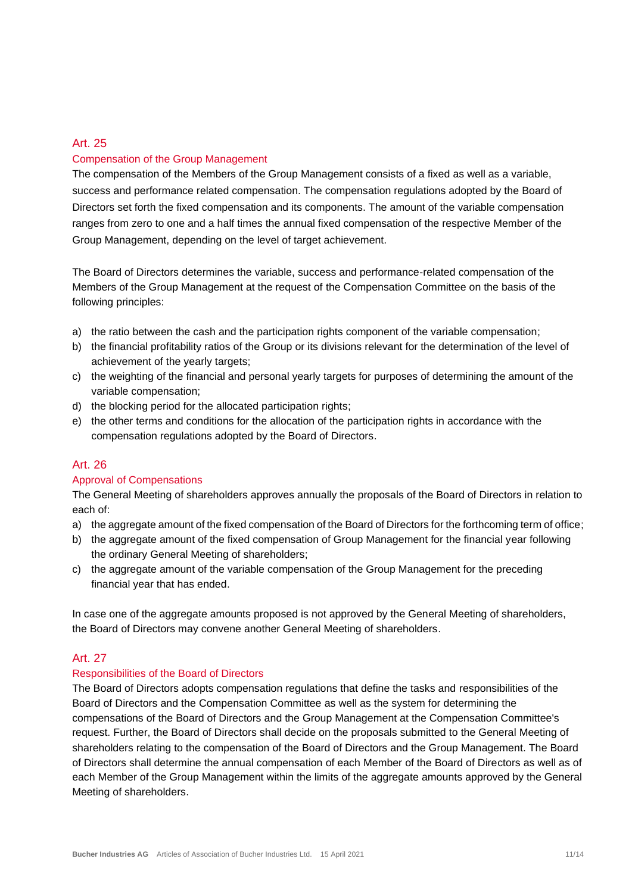#### Art. 25 Compensation of the Group Management

The compensation of the Members of the Group Management consists of a fixed as well as a variable, success and performance related compensation. The compensation regulations adopted by the Board of Directors set forth the fixed compensation and its components. The amount of the variable compensation ranges from zero to one and a half times the annual fixed compensation of the respective Member of the Group Management, depending on the level of target achievement.

The Board of Directors determines the variable, success and performance-related compensation of the Members of the Group Management at the request of the Compensation Committee on the basis of the following principles:

- a) the ratio between the cash and the participation rights component of the variable compensation;
- b) the financial profitability ratios of the Group or its divisions relevant for the determination of the level of achievement of the yearly targets;
- c) the weighting of the financial and personal yearly targets for purposes of determining the amount of the variable compensation;
- d) the blocking period for the allocated participation rights;
- e) the other terms and conditions for the allocation of the participation rights in accordance with the compensation regulations adopted by the Board of Directors.

#### Art. 26

#### Approval of Compensations

The General Meeting of shareholders approves annually the proposals of the Board of Directors in relation to each of:

- a) the aggregate amount of the fixed compensation of the Board of Directors for the forthcoming term of office;
- b) the aggregate amount of the fixed compensation of Group Management for the financial year following the ordinary General Meeting of shareholders;
- c) the aggregate amount of the variable compensation of the Group Management for the preceding financial year that has ended.

In case one of the aggregate amounts proposed is not approved by the General Meeting of shareholders, the Board of Directors may convene another General Meeting of shareholders.

#### Art. 27

#### Responsibilities of the Board of Directors

The Board of Directors adopts compensation regulations that define the tasks and responsibilities of the Board of Directors and the Compensation Committee as well as the system for determining the compensations of the Board of Directors and the Group Management at the Compensation Committee's request. Further, the Board of Directors shall decide on the proposals submitted to the General Meeting of shareholders relating to the compensation of the Board of Directors and the Group Management. The Board of Directors shall determine the annual compensation of each Member of the Board of Directors as well as of each Member of the Group Management within the limits of the aggregate amounts approved by the General Meeting of shareholders.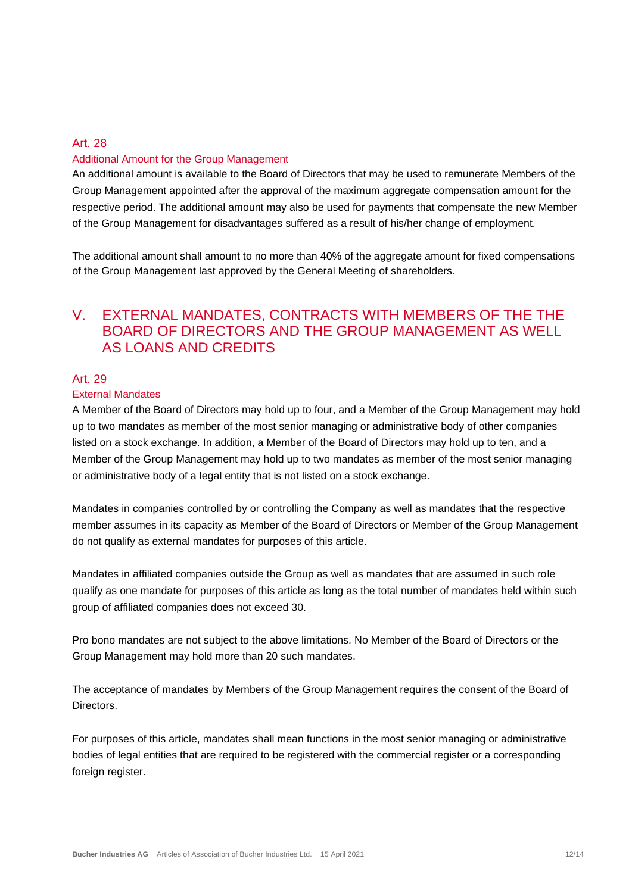#### Art. 28 Additional Amount for the Group Management

An additional amount is available to the Board of Directors that may be used to remunerate Members of the Group Management appointed after the approval of the maximum aggregate compensation amount for the respective period. The additional amount may also be used for payments that compensate the new Member of the Group Management for disadvantages suffered as a result of his/her change of employment.

The additional amount shall amount to no more than 40% of the aggregate amount for fixed compensations of the Group Management last approved by the General Meeting of shareholders.

# V. EXTERNAL MANDATES, CONTRACTS WITH MEMBERS OF THE THE BOARD OF DIRECTORS AND THE GROUP MANAGEMENT AS WELL AS LOANS AND CREDITS

#### Art. 29

#### External Mandates

A Member of the Board of Directors may hold up to four, and a Member of the Group Management may hold up to two mandates as member of the most senior managing or administrative body of other companies listed on a stock exchange. In addition, a Member of the Board of Directors may hold up to ten, and a Member of the Group Management may hold up to two mandates as member of the most senior managing or administrative body of a legal entity that is not listed on a stock exchange.

Mandates in companies controlled by or controlling the Company as well as mandates that the respective member assumes in its capacity as Member of the Board of Directors or Member of the Group Management do not qualify as external mandates for purposes of this article.

Mandates in affiliated companies outside the Group as well as mandates that are assumed in such role qualify as one mandate for purposes of this article as long as the total number of mandates held within such group of affiliated companies does not exceed 30.

Pro bono mandates are not subject to the above limitations. No Member of the Board of Directors or the Group Management may hold more than 20 such mandates.

The acceptance of mandates by Members of the Group Management requires the consent of the Board of **Directors** 

For purposes of this article, mandates shall mean functions in the most senior managing or administrative bodies of legal entities that are required to be registered with the commercial register or a corresponding foreign register.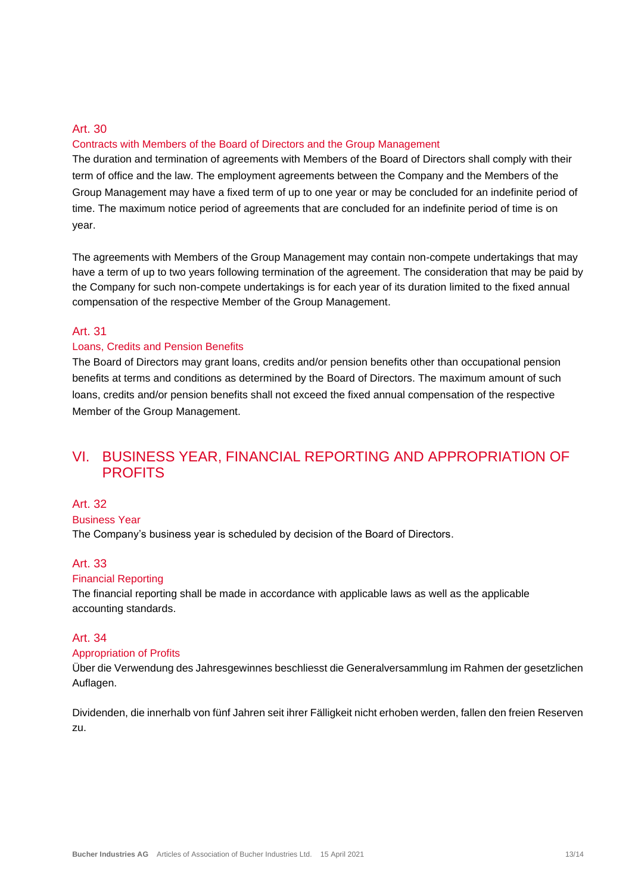#### Contracts with Members of the Board of Directors and the Group Management

The duration and termination of agreements with Members of the Board of Directors shall comply with their term of office and the law. The employment agreements between the Company and the Members of the Group Management may have a fixed term of up to one year or may be concluded for an indefinite period of time. The maximum notice period of agreements that are concluded for an indefinite period of time is on year.

The agreements with Members of the Group Management may contain non-compete undertakings that may have a term of up to two years following termination of the agreement. The consideration that may be paid by the Company for such non-compete undertakings is for each year of its duration limited to the fixed annual compensation of the respective Member of the Group Management.

#### Art. 31

#### Loans, Credits and Pension Benefits

The Board of Directors may grant loans, credits and/or pension benefits other than occupational pension benefits at terms and conditions as determined by the Board of Directors. The maximum amount of such loans, credits and/or pension benefits shall not exceed the fixed annual compensation of the respective Member of the Group Management.

# VI. BUSINESS YEAR, FINANCIAL REPORTING AND APPROPRIATION OF **PROFITS**

#### Art. 32

#### Business Year

The Company's business year is scheduled by decision of the Board of Directors.

#### Art. 33

#### Financial Reporting

The financial reporting shall be made in accordance with applicable laws as well as the applicable accounting standards.

#### Art. 34

#### Appropriation of Profits

Über die Verwendung des Jahresgewinnes beschliesst die Generalversammlung im Rahmen der gesetzlichen Auflagen.

Dividenden, die innerhalb von fünf Jahren seit ihrer Fälligkeit nicht erhoben werden, fallen den freien Reserven zu.